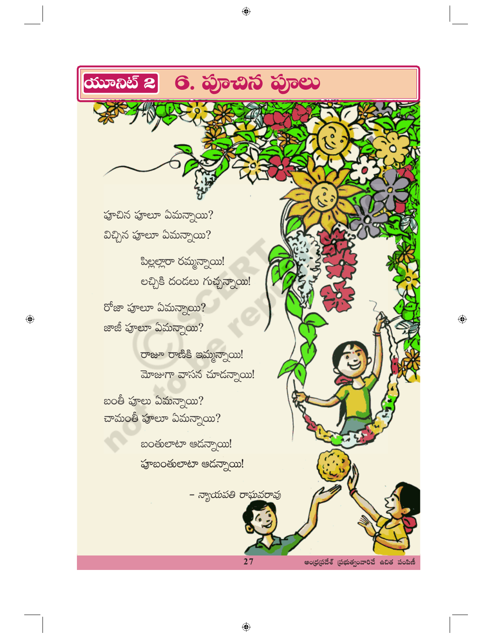

 $\bigoplus$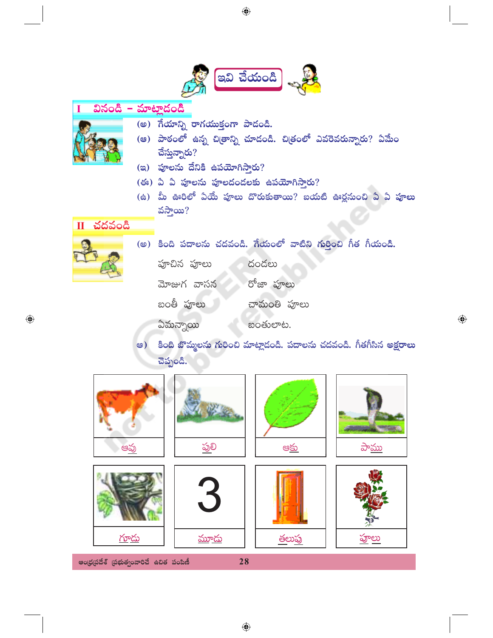

 $\bigoplus$ 

 $\bigoplus$ 

<u>పాము</u> <u>ప్ర</u>లి ఆవు ఆకు <u>గూదు</u> <u>హ్రాలు</u> <u>మూదు</u> <u>తలుప్ర</u> ఆంధ్రప్రదేశ్ (పభుత్వంవారిచే ఉచిత పంపిణీ 28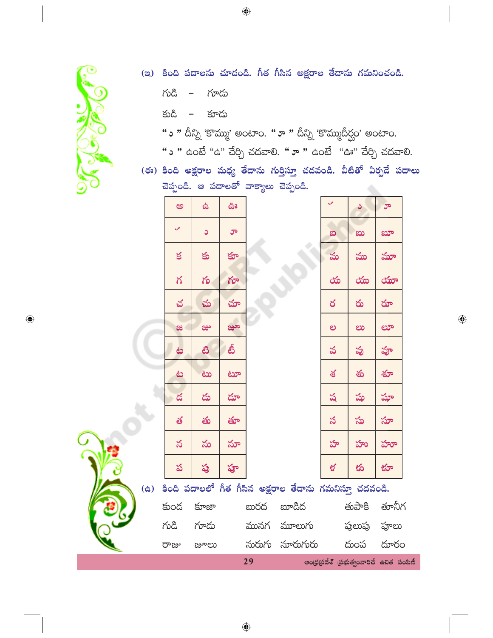

- (ఇ) కింది పదాలను చూడండి. గీత గీసిన అక్షరాల తేదాను గమనించండి.
	- $\sim$ లించి గూదు

හියී కూదు  $\overline{\phantom{0}}$ 

- "ు " దీన్ని 'కొమ్ము' అంటాం. "ూ " దీన్ని 'కొమ్ముదీర్ఘం' అంటాం.
- **" ు "** ఉంటే "ఉ" చేర్చి చదవాలి. **" ూ "** ఉంటే "ఊ" చేర్చి చదవాలి.
- (ఈ) కింది అక్షరాల మధ్య తేదాను గుర్తిస్తూ చదవండి. వీటితో ఏర్పడే పదాలు చెప్పండి. ఆ పదాలతో వాక్యాలు చెప్పండి.

|                               | అ      | \$             | ఊ    |    |                                                        |          | O,       | ರ್                                      |  |
|-------------------------------|--------|----------------|------|----|--------------------------------------------------------|----------|----------|-----------------------------------------|--|
|                               | ✓      | C              | ూ    |    |                                                        | $\infty$ | ಖು       | ಖಾ                                      |  |
|                               | $\leq$ | $\mathfrak{S}$ | క్తూ |    |                                                        | మ        | ము       | మూ                                      |  |
|                               | గ      | గు             | గూ   |    |                                                        | య        | $\infty$ | ಯಾ                                      |  |
|                               | చ      | చు             | చూ   |    |                                                        | ర        | రు       | రూ                                      |  |
|                               | ಜ      | జ్రు           | జూ   |    |                                                        | ల        | లు       | ಲಾ                                      |  |
|                               | ಹಿ     | ඪි             | తీ   |    |                                                        | వ        | వు       | వూ                                      |  |
|                               | نځ     | مثا            | ಟಾ   |    |                                                        | శ        | శు       | శూ                                      |  |
|                               | డ      | డు             | దూ   |    |                                                        | ష        | షు       | షూ                                      |  |
|                               | త      | తు             | తూ   |    |                                                        | స        | సు       | సూ                                      |  |
|                               | న      | ను             | నూ   |    |                                                        | హ        | హు       | హూ                                      |  |
|                               | ప      | ప్ర            | హ్ర  |    |                                                        | ళ        | కు       | క్రూ                                    |  |
| $\left( \dot{\varpi} \right)$ |        |                |      |    | కింది పదాలలో గీత గీసిన అక్షరాల తేదాను గమనిస్తూ చదవండి. |          |          |                                         |  |
|                               |        |                |      |    | కుంద కూజా - బురద బూడిద                                 |          | తుపాకి   | తూనీగ                                   |  |
|                               | గుడి   | గూదు           |      |    | మునగ మూలుగు                                            |          | పులుపు   | ఫూలు                                    |  |
|                               | రాజు   | జూలు           |      |    | నురుగు సూరుగురు   దుంప                                 |          |          | దూరం                                    |  |
|                               |        |                |      | 29 |                                                        |          |          | ఆంధ్రప్రదేశ్ (పభుత్వంవారిచే ఉచిత పంపిణీ |  |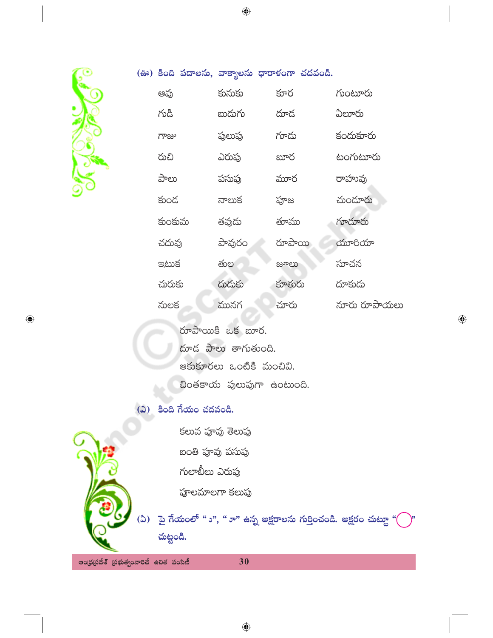

 $\bigoplus$ 

| (ఊ) కింది పదాలను, వాక్యాలను ధారాళంగా చదవండి. |        |        |              |
|----------------------------------------------|--------|--------|--------------|
| ఆవు                                          | కునుకు | కూర    | గుంటూరు      |
| గుడి                                         | బుదుగు | దూద    | ఏలూరు        |
| గాజు                                         | పులుపు | గూదు   | కందుకూరు     |
| రుచి                                         | ఎరుపు  | బూర    | టంగుటూరు     |
| పాలు                                         | పసుఫు  | మూర    | రాహువు       |
| కుండ                                         | నాలుక  | పూజ    | చుందూరు      |
| కుంకుమ                                       | తవుదు  | తూము   | గూదూరు       |
| చదువు                                        | పావురం | రూపాయి | యూరియా       |
| ఇటుక                                         | తుల    | జూలు   | సూచన         |
| చురుకు                                       | దుదుకు | కూతురు | దూకుదు       |
| నులక                                         | మునగ   | చూరు   | నూరు రూపాయలు |

 $\bigoplus$ 

రూపాయికి ఒక బూర.

దూడ పాలు తాగుతుంది.

ఆకుకూరలు ఒంటికి మంచివి.

ඩංඡපංරා  $\omega$ හානුగా ఉంటుంది.

(ఎ) కింది గేయం చదవండి.

కలువ పూవు తెలుపు

బంతి పూవు పసుపు

గులాబీలు ఎరుపు

పూలమాలగా కలుపు



ఆంధ్రప్రదేశ్ (పభుత్వంవారిచే ఉచిత పంపిణీ

 $\bigoplus$ 

30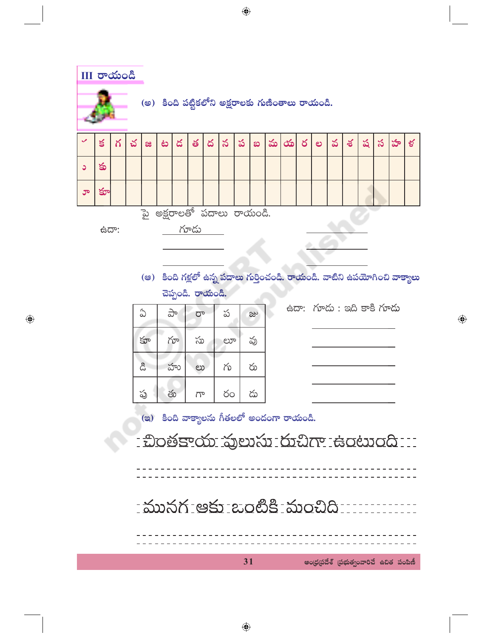III రాయండి (అ) కింది పట్టికలోని అక్షరాలకు గుణింతాలు రాయండి.  $\leq$ చ ద  $\precsim$ ప మ  $\infty$ ర వ ష  $\boldsymbol{\mathcal{S}}$ హ ళ్ల గ ف డ త శ  $\boldsymbol{\omega}$ ల æ కు  $\circ$ కూ ూ పై అక్షరాలతో పదాలు రాయండి. గూడు **ఉదా:** (అ) కింది గళ్లలో ఉన్న పదాలు గుర్తించండి. రాయండి. వాటిని ఉపయోగించి వాక్యాలు చెప్పండి. రాయండి. .<br>ස්ධාන රාංකි කිරී සංදී රාංකි

| ఏ   | ಕಿ | ರ್       | ప  | జు |
|-----|----|----------|----|----|
| కూ  | గూ | సు<br>ಲಾ |    | వు |
| ್ಲಿ | హు | ಲು       | గు | రు |
| ప్ర | తు | గా       | రం | డు |

 $\bigoplus$ 

| ww. 10°w. aw oo 10°w |  |  |
|----------------------|--|--|
|                      |  |  |
|                      |  |  |
|                      |  |  |
|                      |  |  |
|                      |  |  |

 $\bigoplus$ 

(a) కింది వాక్యాలను గీతలలో అందంగా రాయండి.

- ඩංෂ්පැරන කුහාන හිඩු ල සංහංගි ::: \_\_\_\_\_\_\_\_\_\_\_\_\_\_\_\_\_\_\_\_\_\_\_\_\_\_\_\_\_\_\_\_\_\_ <u> : మునగ ఆకు బంటికి :మంచిది .......</u> 31 ఆంధ్రప్రదేశ్ (పభుత్వంవారిచే ఉచిత పంపిణీ

 $\bigoplus$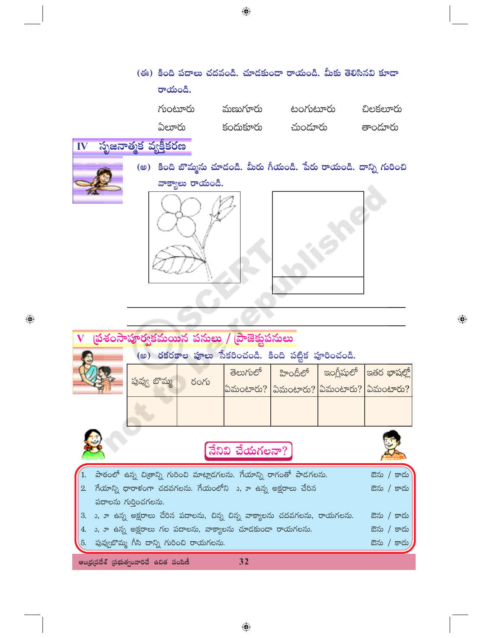|    | రాయండి.              | (ఈ) కింది పదాలు చదవండి. చూడకుండా రాయండి. మీకు తెలిసినవి కూడా |                                                                    |          |  |  |  |  |
|----|----------------------|--------------------------------------------------------------|--------------------------------------------------------------------|----------|--|--|--|--|
|    | గుంటూరు              | మణుగూరు                                                      | టంగుటూరు                                                           | చిలకలూరు |  |  |  |  |
|    | ఏలూరు                | కందుకూరు                                                     | చుందూరు                                                            | తాందూరు  |  |  |  |  |
| IV | సృజనాత్మక వ్యక్తీకరణ |                                                              |                                                                    |          |  |  |  |  |
|    |                      |                                                              | (అ) కింది బొమ్మను చూడండి. మీరు గీయండి. పేరు రాయండి. దాన్ని గురించి |          |  |  |  |  |
|    | వాక్యాలు రాయండి.     |                                                              |                                                                    |          |  |  |  |  |

|                                                                 |                                                                                        | V (పశంసాపూర్వకమయిన పనులు / (పాజెక్షుపనులు |  |                                                 |                                                      |  |  |            |  |
|-----------------------------------------------------------------|----------------------------------------------------------------------------------------|-------------------------------------------|--|-------------------------------------------------|------------------------------------------------------|--|--|------------|--|
| (అ) రకరకాల పూలు సేకరించండి. కింది పట్టిక పూరించండి.             |                                                                                        |                                           |  |                                                 |                                                      |  |  |            |  |
|                                                                 |                                                                                        |                                           |  |                                                 | $\vec{a}$ లుగులో   హిందీలో   ఇంగ్లీషులో  ఇతర భాషల్లో |  |  |            |  |
|                                                                 | పువ్వ బొమ్మ                                                                            | రంగు                                      |  | ఏమంటారు? $ $ ఏమంటారు? $ $ ఏమంటారు? $ $ ఏమంటారు? |                                                      |  |  |            |  |
|                                                                 |                                                                                        |                                           |  |                                                 |                                                      |  |  |            |  |
| నేనివి చేయగలనా?                                                 |                                                                                        |                                           |  |                                                 |                                                      |  |  |            |  |
|                                                                 | పాఠంలో ఉన్న చిత్రాన్ని గురించి మాట్లాడగలను. గేయాన్ని రాగంతో పాడగలను.<br>ఔను / కాదు     |                                           |  |                                                 |                                                      |  |  |            |  |
|                                                                 | 2. గేయాన్ని ధారాళంగా చదవగలను. గేయంలోని ు, ూ ఉన్న అక్షరాలు చేరిన<br>ఔను / కాదు          |                                           |  |                                                 |                                                      |  |  |            |  |
|                                                                 | పదాలను గుర్తించగలను.                                                                   |                                           |  |                                                 |                                                      |  |  |            |  |
| 3.                                                              | ు, ూ ఉన్న అక్షరాలు చేరిన పదాలను, చిన్న చిన్న వాక్యాలను చదవగలను, రాయగలను.<br>ఔను / కాదు |                                           |  |                                                 |                                                      |  |  |            |  |
| ు, ూ ఉన్న అక్షరాలు గల పదాలను, వాక్యాలను చూడకుండా రాయగలను.<br>4. |                                                                                        |                                           |  |                                                 |                                                      |  |  | ఔను / కాదు |  |
|                                                                 | 5.   పువ్వబొమ్మ గీసి దాన్ని గురించి రాయగలను.<br>ఔను / కాదు                             |                                           |  |                                                 |                                                      |  |  |            |  |
|                                                                 |                                                                                        | ఆంధ్రప్రదేశ్ (పభుత్వంవారిచే ఉచిత పంపిణీ   |  | 32                                              |                                                      |  |  |            |  |

 $\bigoplus$ 

 $\bigoplus$